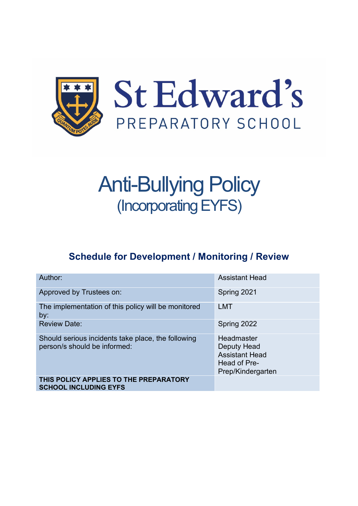

# Anti-Bullying Policy (IncorporatingEYFS)

# **Schedule for Development / Monitoring / Review**

| Author:                                                                            | <b>Assistant Head</b>                                                                          |
|------------------------------------------------------------------------------------|------------------------------------------------------------------------------------------------|
| Approved by Trustees on:                                                           | Spring 2021                                                                                    |
| The implementation of this policy will be monitored<br>by:                         | <b>LMT</b>                                                                                     |
| <b>Review Date:</b>                                                                | Spring 2022                                                                                    |
| Should serious incidents take place, the following<br>person/s should be informed: | Headmaster<br><b>Deputy Head</b><br><b>Assistant Head</b><br>Head of Pre-<br>Prep/Kindergarten |
| THIS POLICY APPLIES TO THE PREPARATORY<br><b>SCHOOL INCLUDING EYFS</b>             |                                                                                                |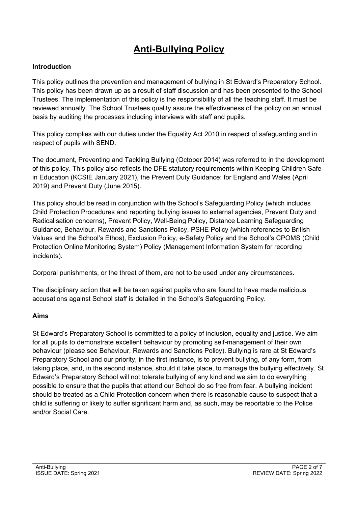# **Anti-Bullying Policy**

#### **Introduction**

This policy outlines the prevention and management of bullying in St Edward's Preparatory School. This policy has been drawn up as a result of staff discussion and has been presented to the School Trustees. The implementation of this policy is the responsibility of all the teaching staff. It must be reviewed annually. The School Trustees quality assure the effectiveness of the policy on an annual basis by auditing the processes including interviews with staff and pupils.

This policy complies with our duties under the Equality Act 2010 in respect of safeguarding and in respect of pupils with SEND.

The document, Preventing and Tackling Bullying (October 2014) was referred to in the development of this policy. This policy also reflects the DFE statutory requirements within Keeping Children Safe in Education (KCSIE January 2021), the Prevent Duty Guidance: for England and Wales (April 2019) and Prevent Duty (June 2015).

This policy should be read in conjunction with the School's Safeguarding Policy (which includes Child Protection Procedures and reporting bullying issues to external agencies, Prevent Duty and Radicalisation concerns), Prevent Policy, Well-Being Policy, Distance Learning Safeguarding Guidance, Behaviour, Rewards and Sanctions Policy, PSHE Policy (which references to British Values and the School's Ethos), Exclusion Policy, e-Safety Policy and the School's CPOMS (Child Protection Online Monitoring System) Policy (Management Information System for recording incidents).

Corporal punishments, or the threat of them, are not to be used under any circumstances.

The disciplinary action that will be taken against pupils who are found to have made malicious accusations against School staff is detailed in the School's Safeguarding Policy.

## **Aims**

St Edward's Preparatory School is committed to a policy of inclusion, equality and justice. We aim for all pupils to demonstrate excellent behaviour by promoting self-management of their own behaviour (please see Behaviour, Rewards and Sanctions Policy). Bullying is rare at St Edward's Preparatory School and our priority, in the first instance, is to prevent bullying, of any form, from taking place, and, in the second instance, should it take place, to manage the bullying effectively. St Edward's Preparatory School will not tolerate bullying of any kind and we aim to do everything possible to ensure that the pupils that attend our School do so free from fear. A bullying incident should be treated as a Child Protection concern when there is reasonable cause to suspect that a child is suffering or likely to suffer significant harm and, as such, may be reportable to the Police and/or Social Care.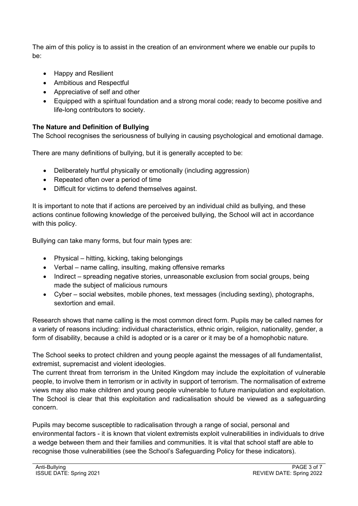The aim of this policy is to assist in the creation of an environment where we enable our pupils to be:

- Happy and Resilient
- Ambitious and Respectful
- Appreciative of self and other
- Equipped with a spiritual foundation and a strong moral code; ready to become positive and life-long contributors to society.

## **The Nature and Definition of Bullying**

The School recognises the seriousness of bullying in causing psychological and emotional damage.

There are many definitions of bullying, but it is generally accepted to be:

- Deliberately hurtful physically or emotionally (including aggression)
- Repeated often over a period of time
- Difficult for victims to defend themselves against.

It is important to note that if actions are perceived by an individual child as bullying, and these actions continue following knowledge of the perceived bullying, the School will act in accordance with this policy.

Bullying can take many forms, but four main types are:

- Physical hitting, kicking, taking belongings
- Verbal name calling, insulting, making offensive remarks
- Indirect spreading negative stories, unreasonable exclusion from social groups, being made the subject of malicious rumours
- Cyber social websites, mobile phones, text messages (including sexting), photographs, sextortion and email.

Research shows that name calling is the most common direct form. Pupils may be called names for a variety of reasons including: individual characteristics, ethnic origin, religion, nationality, gender, a form of disability, because a child is adopted or is a carer or it may be of a homophobic nature.

The School seeks to protect children and young people against the messages of all fundamentalist, extremist, supremacist and violent ideologies.

The current threat from terrorism in the United Kingdom may include the exploitation of vulnerable people, to involve them in terrorism or in activity in support of terrorism. The normalisation of extreme views may also make children and young people vulnerable to future manipulation and exploitation. The School is clear that this exploitation and radicalisation should be viewed as a safeguarding concern.

Pupils may become susceptible to radicalisation through a range of social, personal and environmental factors - it is known that violent extremists exploit vulnerabilities in individuals to drive a wedge between them and their families and communities. It is vital that school staff are able to recognise those vulnerabilities (see the School's Safeguarding Policy for these indicators).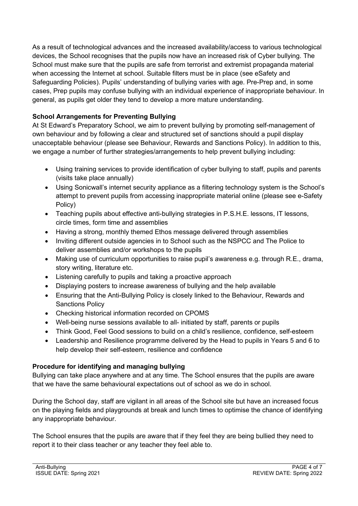As a result of technological advances and the increased availability/access to various technological devices, the School recognises that the pupils now have an increased risk of Cyber bullying. The School must make sure that the pupils are safe from terrorist and extremist propaganda material when accessing the Internet at school. Suitable filters must be in place (see eSafety and Safeguarding Policies). Pupils' understanding of bullying varies with age. Pre-Prep and, in some cases, Prep pupils may confuse bullying with an individual experience of inappropriate behaviour. In general, as pupils get older they tend to develop a more mature understanding.

## **School Arrangements for Preventing Bullying**

At St Edward's Preparatory School, we aim to prevent bullying by promoting self-management of own behaviour and by following a clear and structured set of sanctions should a pupil display unacceptable behaviour (please see Behaviour, Rewards and Sanctions Policy). In addition to this, we engage a number of further strategies/arrangements to help prevent bullying including:

- Using training services to provide identification of cyber bullying to staff, pupils and parents (visits take place annually)
- Using Sonicwall's internet security appliance as a filtering technology system is the School's attempt to prevent pupils from accessing inappropriate material online (please see e-Safety Policy)
- Teaching pupils about effective anti-bullying strategies in P.S.H.E. lessons, IT lessons, circle times, form time and assemblies
- Having a strong, monthly themed Ethos message delivered through assemblies
- Inviting different outside agencies in to School such as the NSPCC and The Police to deliver assemblies and/or workshops to the pupils
- Making use of curriculum opportunities to raise pupil's awareness e.g. through R.E., drama, story writing, literature etc.
- Listening carefully to pupils and taking a proactive approach
- Displaying posters to increase awareness of bullying and the help available
- Ensuring that the Anti-Bullying Policy is closely linked to the Behaviour, Rewards and Sanctions Policy
- Checking historical information recorded on CPOMS
- Well-being nurse sessions available to all- initiated by staff, parents or pupils
- Think Good, Feel Good sessions to build on a child's resilience, confidence, self-esteem
- Leadership and Resilience programme delivered by the Head to pupils in Years 5 and 6 to help develop their self-esteem, resilience and confidence

## **Procedure for identifying and managing bullying**

Bullying can take place anywhere and at any time. The School ensures that the pupils are aware that we have the same behavioural expectations out of school as we do in school.

During the School day, staff are vigilant in all areas of the School site but have an increased focus on the playing fields and playgrounds at break and lunch times to optimise the chance of identifying any inappropriate behaviour.

The School ensures that the pupils are aware that if they feel they are being bullied they need to report it to their class teacher or any teacher they feel able to.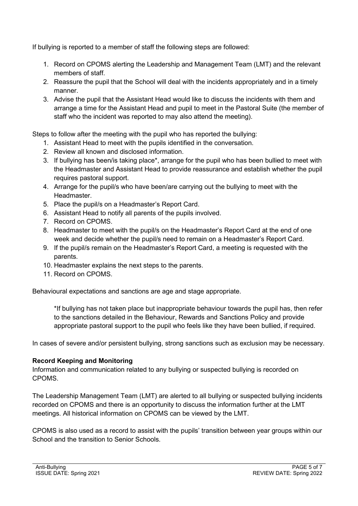If bullying is reported to a member of staff the following steps are followed:

- 1. Record on CPOMS alerting the Leadership and Management Team (LMT) and the relevant members of staff.
- 2. Reassure the pupil that the School will deal with the incidents appropriately and in a timely manner.
- 3. Advise the pupil that the Assistant Head would like to discuss the incidents with them and arrange a time for the Assistant Head and pupil to meet in the Pastoral Suite (the member of staff who the incident was reported to may also attend the meeting).

Steps to follow after the meeting with the pupil who has reported the bullying:

- 1. Assistant Head to meet with the pupils identified in the conversation.
- 2. Review all known and disclosed information.
- 3. If bullying has been/is taking place\*, arrange for the pupil who has been bullied to meet with the Headmaster and Assistant Head to provide reassurance and establish whether the pupil requires pastoral support.
- 4. Arrange for the pupil/s who have been/are carrying out the bullying to meet with the Headmaster.
- 5. Place the pupil/s on a Headmaster's Report Card.
- 6. Assistant Head to notify all parents of the pupils involved.
- 7. Record on CPOMS.
- 8. Headmaster to meet with the pupil/s on the Headmaster's Report Card at the end of one week and decide whether the pupil/s need to remain on a Headmaster's Report Card.
- 9. If the pupil/s remain on the Headmaster's Report Card, a meeting is requested with the parents.
- 10. Headmaster explains the next steps to the parents.
- 11. Record on CPOMS.

Behavioural expectations and sanctions are age and stage appropriate.

\*If bullying has not taken place but inappropriate behaviour towards the pupil has, then refer to the sanctions detailed in the Behaviour, Rewards and Sanctions Policy and provide appropriate pastoral support to the pupil who feels like they have been bullied, if required.

In cases of severe and/or persistent bullying, strong sanctions such as exclusion may be necessary.

#### **Record Keeping and Monitoring**

Information and communication related to any bullying or suspected bullying is recorded on CPOMS.

The Leadership Management Team (LMT) are alerted to all bullying or suspected bullying incidents recorded on CPOMS and there is an opportunity to discuss the information further at the LMT meetings. All historical information on CPOMS can be viewed by the LMT.

CPOMS is also used as a record to assist with the pupils' transition between year groups within our School and the transition to Senior Schools.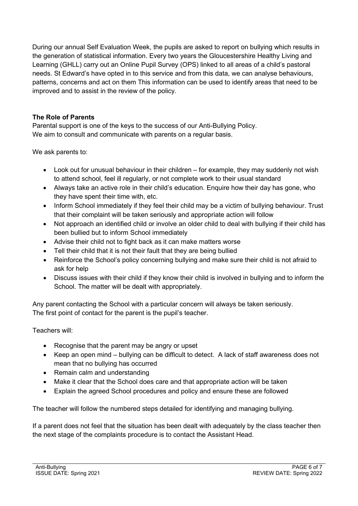During our annual Self Evaluation Week, the pupils are asked to report on bullying which results in the generation of statistical information. Every two years the Gloucestershire Healthy Living and Learning (GHLL) carry out an Online Pupil Survey (OPS) linked to all areas of a child's pastoral needs. St Edward's have opted in to this service and from this data, we can analyse behaviours, patterns, concerns and act on them This information can be used to identify areas that need to be improved and to assist in the review of the policy.

#### **The Role of Parents**

Parental support is one of the keys to the success of our Anti-Bullying Policy. We aim to consult and communicate with parents on a regular basis.

We ask parents to:

- Look out for unusual behaviour in their children for example, they may suddenly not wish to attend school, feel ill regularly, or not complete work to their usual standard
- Always take an active role in their child's education. Enquire how their day has gone, who they have spent their time with, etc.
- Inform School immediately if they feel their child may be a victim of bullying behaviour. Trust that their complaint will be taken seriously and appropriate action will follow
- Not approach an identified child or involve an older child to deal with bullying if their child has been bullied but to inform School immediately
- Advise their child not to fight back as it can make matters worse
- Tell their child that it is not their fault that they are being bullied
- Reinforce the School's policy concerning bullying and make sure their child is not afraid to ask for help
- Discuss issues with their child if they know their child is involved in bullying and to inform the School. The matter will be dealt with appropriately.

Any parent contacting the School with a particular concern will always be taken seriously. The first point of contact for the parent is the pupil's teacher.

Teachers will:

- Recognise that the parent may be angry or upset
- Keep an open mind bullying can be difficult to detect. A lack of staff awareness does not mean that no bullying has occurred
- Remain calm and understanding
- Make it clear that the School does care and that appropriate action will be taken
- Explain the agreed School procedures and policy and ensure these are followed

The teacher will follow the numbered steps detailed for identifying and managing bullying.

If a parent does not feel that the situation has been dealt with adequately by the class teacher then the next stage of the complaints procedure is to contact the Assistant Head.